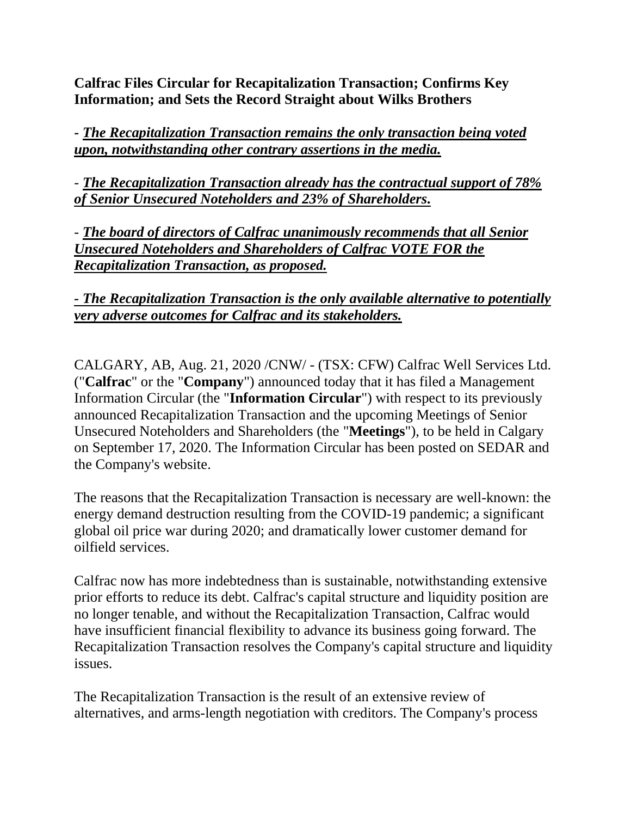**Calfrac Files Circular for Recapitalization Transaction; Confirms Key Information; and Sets the Record Straight about Wilks Brothers**

**-** *The Recapitalization Transaction remains the only transaction being voted upon, notwithstanding other contrary assertions in the media.*

- *The Recapitalization Transaction already has the contractual support of 78% of Senior Unsecured Noteholders and 23% of Shareholders.*

- *The board of directors of Calfrac unanimously recommends that all Senior Unsecured Noteholders and Shareholders of Calfrac VOTE FOR the Recapitalization Transaction, as proposed.*

### *- The Recapitalization Transaction is the only available alternative to potentially very adverse outcomes for Calfrac and its stakeholders.*

CALGARY, AB, Aug. 21, 2020 /CNW/ - (TSX: CFW) Calfrac Well Services Ltd. ("**Calfrac**" or the "**Company**") announced today that it has filed a Management Information Circular (the "**Information Circular**") with respect to its previously announced Recapitalization Transaction and the upcoming Meetings of Senior Unsecured Noteholders and Shareholders (the "**Meetings**"), to be held in Calgary on September 17, 2020. The Information Circular has been posted on SEDAR and the Company's website.

The reasons that the Recapitalization Transaction is necessary are well-known: the energy demand destruction resulting from the COVID-19 pandemic; a significant global oil price war during 2020; and dramatically lower customer demand for oilfield services.

Calfrac now has more indebtedness than is sustainable, notwithstanding extensive prior efforts to reduce its debt. Calfrac's capital structure and liquidity position are no longer tenable, and without the Recapitalization Transaction, Calfrac would have insufficient financial flexibility to advance its business going forward. The Recapitalization Transaction resolves the Company's capital structure and liquidity issues.

The Recapitalization Transaction is the result of an extensive review of alternatives, and arms-length negotiation with creditors. The Company's process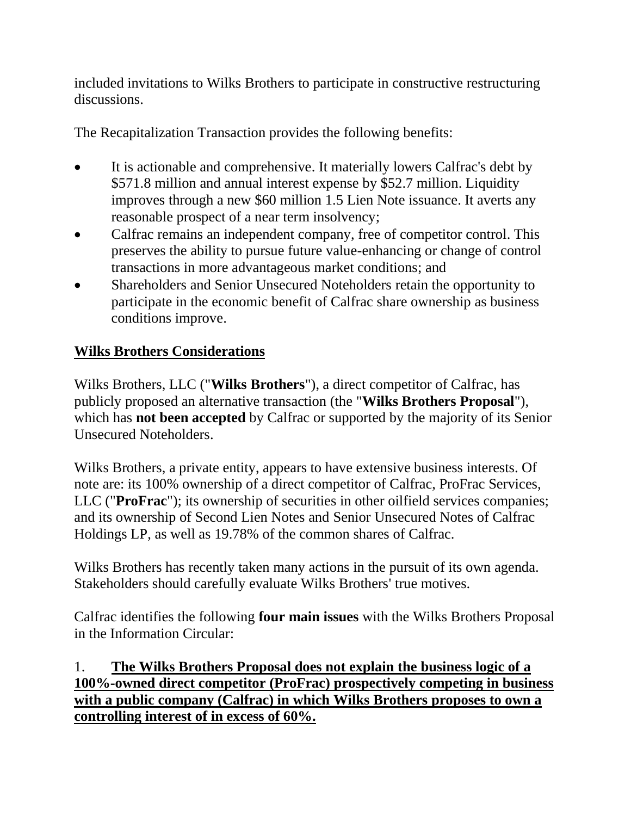included invitations to Wilks Brothers to participate in constructive restructuring discussions.

The Recapitalization Transaction provides the following benefits:

- It is actionable and comprehensive. It materially lowers Calfrac's debt by \$571.8 million and annual interest expense by \$52.7 million. Liquidity improves through a new \$60 million 1.5 Lien Note issuance. It averts any reasonable prospect of a near term insolvency;
- Calfrac remains an independent company, free of competitor control. This preserves the ability to pursue future value-enhancing or change of control transactions in more advantageous market conditions; and
- Shareholders and Senior Unsecured Noteholders retain the opportunity to participate in the economic benefit of Calfrac share ownership as business conditions improve.

# **Wilks Brothers Considerations**

Wilks Brothers, LLC ("**Wilks Brothers**"), a direct competitor of Calfrac, has publicly proposed an alternative transaction (the "**Wilks Brothers Proposal**"), which has **not been accepted** by Calfrac or supported by the majority of its Senior Unsecured Noteholders.

Wilks Brothers, a private entity, appears to have extensive business interests. Of note are: its 100% ownership of a direct competitor of Calfrac, ProFrac Services, LLC ("**ProFrac**"); its ownership of securities in other oilfield services companies; and its ownership of Second Lien Notes and Senior Unsecured Notes of Calfrac Holdings LP, as well as 19.78% of the common shares of Calfrac.

Wilks Brothers has recently taken many actions in the pursuit of its own agenda. Stakeholders should carefully evaluate Wilks Brothers' true motives.

Calfrac identifies the following **four main issues** with the Wilks Brothers Proposal in the Information Circular:

1. **The Wilks Brothers Proposal does not explain the business logic of a 100%-owned direct competitor (ProFrac) prospectively competing in business with a public company (Calfrac) in which Wilks Brothers proposes to own a controlling interest of in excess of 60%.**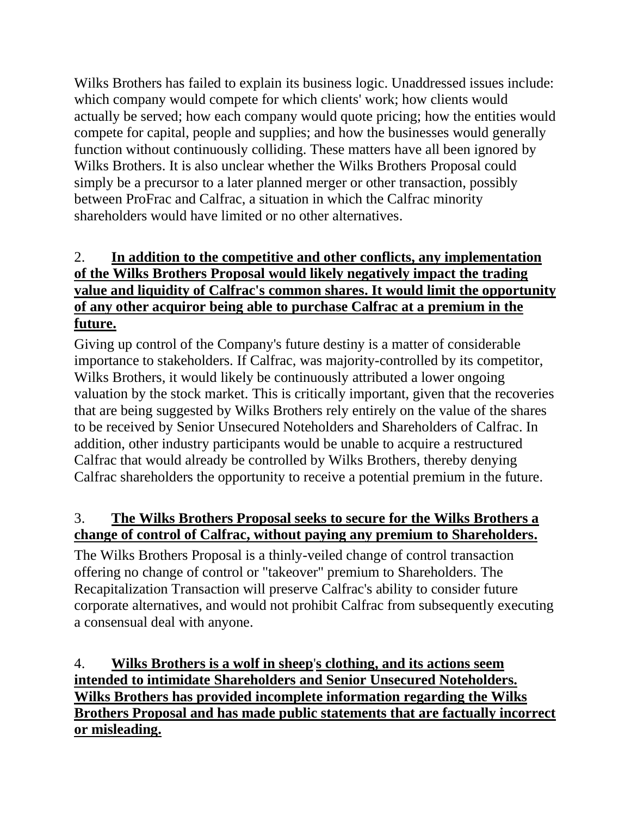Wilks Brothers has failed to explain its business logic. Unaddressed issues include: which company would compete for which clients' work; how clients would actually be served; how each company would quote pricing; how the entities would compete for capital, people and supplies; and how the businesses would generally function without continuously colliding. These matters have all been ignored by Wilks Brothers. It is also unclear whether the Wilks Brothers Proposal could simply be a precursor to a later planned merger or other transaction, possibly between ProFrac and Calfrac, a situation in which the Calfrac minority shareholders would have limited or no other alternatives.

## 2. **In addition to the competitive and other conflicts, any implementation of the Wilks Brothers Proposal would likely negatively impact the trading value and liquidity of Calfrac's common shares. It would limit the opportunity of any other acquiror being able to purchase Calfrac at a premium in the future.**

Giving up control of the Company's future destiny is a matter of considerable importance to stakeholders. If Calfrac, was majority-controlled by its competitor, Wilks Brothers, it would likely be continuously attributed a lower ongoing valuation by the stock market. This is critically important, given that the recoveries that are being suggested by Wilks Brothers rely entirely on the value of the shares to be received by Senior Unsecured Noteholders and Shareholders of Calfrac. In addition, other industry participants would be unable to acquire a restructured Calfrac that would already be controlled by Wilks Brothers, thereby denying Calfrac shareholders the opportunity to receive a potential premium in the future.

## 3. **The Wilks Brothers Proposal seeks to secure for the Wilks Brothers a change of control of Calfrac, without paying any premium to Shareholders.**

The Wilks Brothers Proposal is a thinly-veiled change of control transaction offering no change of control or "takeover" premium to Shareholders. The Recapitalization Transaction will preserve Calfrac's ability to consider future corporate alternatives, and would not prohibit Calfrac from subsequently executing a consensual deal with anyone.

4. **Wilks Brothers is a wolf in sheep**'**s clothing, and its actions seem intended to intimidate Shareholders and Senior Unsecured Noteholders. Wilks Brothers has provided incomplete information regarding the Wilks Brothers Proposal and has made public statements that are factually incorrect or misleading.**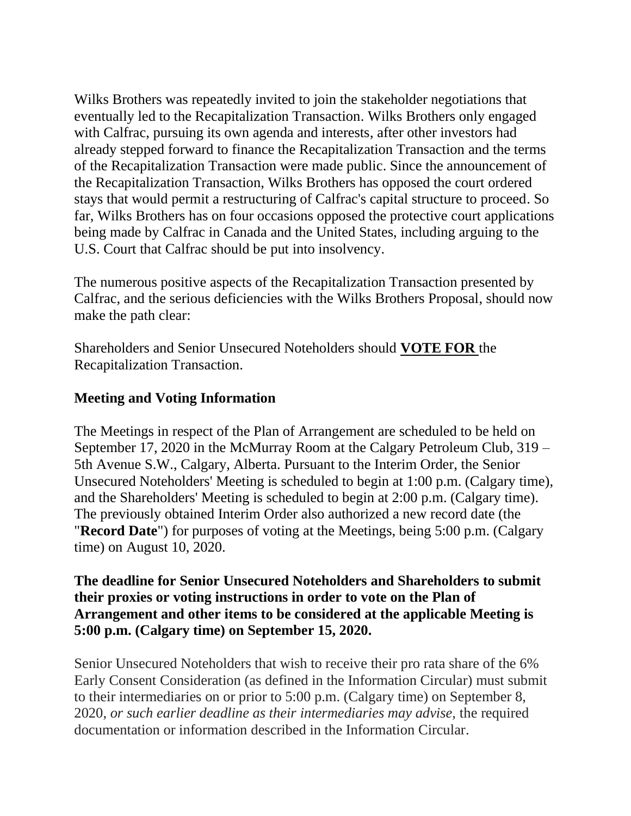Wilks Brothers was repeatedly invited to join the stakeholder negotiations that eventually led to the Recapitalization Transaction. Wilks Brothers only engaged with Calfrac, pursuing its own agenda and interests, after other investors had already stepped forward to finance the Recapitalization Transaction and the terms of the Recapitalization Transaction were made public. Since the announcement of the Recapitalization Transaction, Wilks Brothers has opposed the court ordered stays that would permit a restructuring of Calfrac's capital structure to proceed. So far, Wilks Brothers has on four occasions opposed the protective court applications being made by Calfrac in Canada and the United States, including arguing to the U.S. Court that Calfrac should be put into insolvency.

The numerous positive aspects of the Recapitalization Transaction presented by Calfrac, and the serious deficiencies with the Wilks Brothers Proposal, should now make the path clear:

Shareholders and Senior Unsecured Noteholders should **VOTE FOR** the Recapitalization Transaction.

#### **Meeting and Voting Information**

The Meetings in respect of the Plan of Arrangement are scheduled to be held on September 17, 2020 in the McMurray Room at the Calgary Petroleum Club, 319 – 5th Avenue S.W., Calgary, Alberta. Pursuant to the Interim Order, the Senior Unsecured Noteholders' Meeting is scheduled to begin at 1:00 p.m. (Calgary time), and the Shareholders' Meeting is scheduled to begin at 2:00 p.m. (Calgary time). The previously obtained Interim Order also authorized a new record date (the "**Record Date**") for purposes of voting at the Meetings, being 5:00 p.m. (Calgary time) on August 10, 2020.

#### **The deadline for Senior Unsecured Noteholders and Shareholders to submit their proxies or voting instructions in order to vote on the Plan of Arrangement and other items to be considered at the applicable Meeting is 5:00 p.m. (Calgary time) on September 15, 2020.**

Senior Unsecured Noteholders that wish to receive their pro rata share of the 6% Early Consent Consideration (as defined in the Information Circular) must submit to their intermediaries on or prior to 5:00 p.m. (Calgary time) on September 8, 2020, *or such earlier deadline as their intermediaries may advise,* the required documentation or information described in the Information Circular.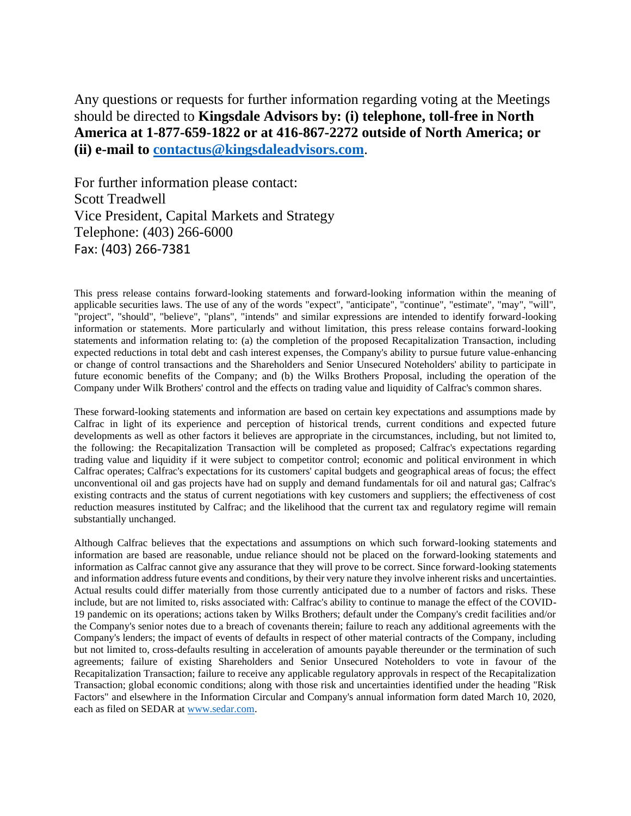Any questions or requests for further information regarding voting at the Meetings should be directed to **Kingsdale Advisors by: (i) telephone, toll-free in North America at 1-877-659-1822 or at 416-867-2272 outside of North America; or (ii) e-mail to [contactus@kingsdaleadvisors.com](mailto:contactus@kingsdaleadvisors.com)**.

For further information please contact: Scott Treadwell Vice President, Capital Markets and Strategy Telephone: (403) 266-6000 Fax: (403) 266-7381

This press release contains forward-looking statements and forward-looking information within the meaning of applicable securities laws. The use of any of the words "expect", "anticipate", "continue", "estimate", "may", "will", "project", "should", "believe", "plans", "intends" and similar expressions are intended to identify forward-looking information or statements. More particularly and without limitation, this press release contains forward-looking statements and information relating to: (a) the completion of the proposed Recapitalization Transaction, including expected reductions in total debt and cash interest expenses, the Company's ability to pursue future value-enhancing or change of control transactions and the Shareholders and Senior Unsecured Noteholders' ability to participate in future economic benefits of the Company; and (b) the Wilks Brothers Proposal, including the operation of the Company under Wilk Brothers' control and the effects on trading value and liquidity of Calfrac's common shares.

These forward-looking statements and information are based on certain key expectations and assumptions made by Calfrac in light of its experience and perception of historical trends, current conditions and expected future developments as well as other factors it believes are appropriate in the circumstances, including, but not limited to, the following: the Recapitalization Transaction will be completed as proposed; Calfrac's expectations regarding trading value and liquidity if it were subject to competitor control; economic and political environment in which Calfrac operates; Calfrac's expectations for its customers' capital budgets and geographical areas of focus; the effect unconventional oil and gas projects have had on supply and demand fundamentals for oil and natural gas; Calfrac's existing contracts and the status of current negotiations with key customers and suppliers; the effectiveness of cost reduction measures instituted by Calfrac; and the likelihood that the current tax and regulatory regime will remain substantially unchanged.

Although Calfrac believes that the expectations and assumptions on which such forward-looking statements and information are based are reasonable, undue reliance should not be placed on the forward-looking statements and information as Calfrac cannot give any assurance that they will prove to be correct. Since forward-looking statements and information address future events and conditions, by their very nature they involve inherent risks and uncertainties. Actual results could differ materially from those currently anticipated due to a number of factors and risks. These include, but are not limited to, risks associated with: Calfrac's ability to continue to manage the effect of the COVID-19 pandemic on its operations; actions taken by Wilks Brothers; default under the Company's credit facilities and/or the Company's senior notes due to a breach of covenants therein; failure to reach any additional agreements with the Company's lenders; the impact of events of defaults in respect of other material contracts of the Company, including but not limited to, cross-defaults resulting in acceleration of amounts payable thereunder or the termination of such agreements; failure of existing Shareholders and Senior Unsecured Noteholders to vote in favour of the Recapitalization Transaction; failure to receive any applicable regulatory approvals in respect of the Recapitalization Transaction; global economic conditions; along with those risk and uncertainties identified under the heading "Risk Factors" and elsewhere in the Information Circular and Company's annual information form dated March 10, 2020, each as filed on SEDAR at [www.sedar.com.](http://www.sedar.com/)